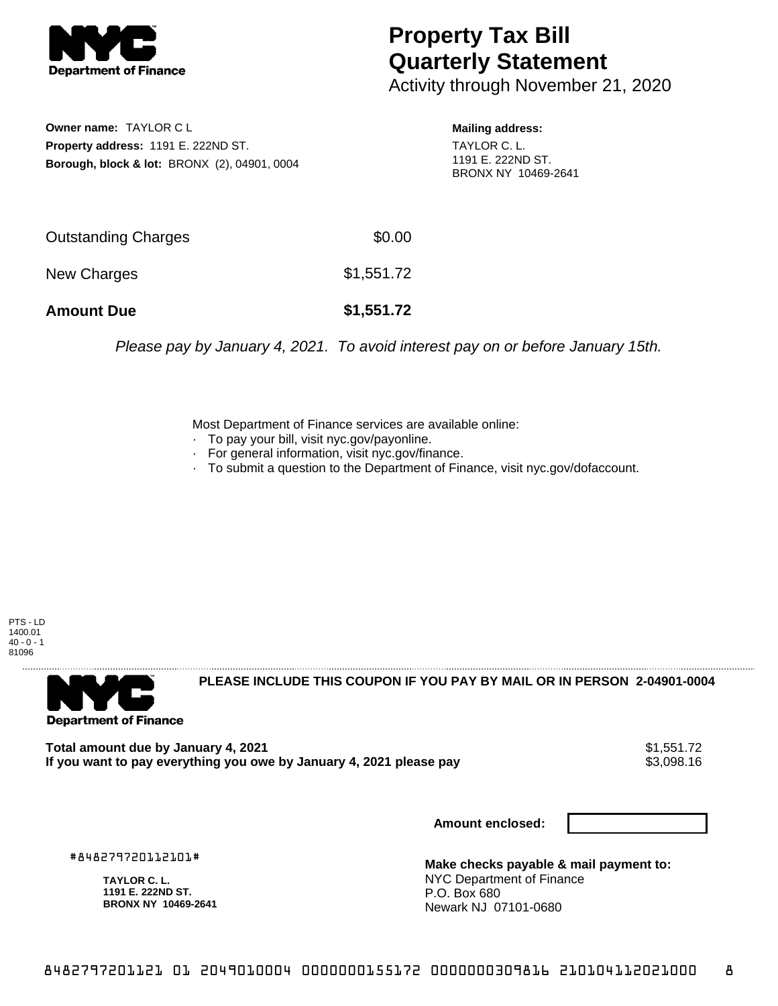

## **Property Tax Bill Quarterly Statement**

Activity through November 21, 2020

**Owner name:** TAYLOR C L **Property address:** 1191 E. 222ND ST. **Borough, block & lot:** BRONX (2), 04901, 0004

## **Mailing address:**

TAYLOR C. L. 1191 E. 222ND ST. BRONX NY 10469-2641

| <b>Amount Due</b>          | \$1,551.72 |
|----------------------------|------------|
| New Charges                | \$1,551.72 |
| <b>Outstanding Charges</b> | \$0.00     |

Please pay by January 4, 2021. To avoid interest pay on or before January 15th.

Most Department of Finance services are available online:

- · To pay your bill, visit nyc.gov/payonline.
- For general information, visit nyc.gov/finance.
- · To submit a question to the Department of Finance, visit nyc.gov/dofaccount.

PTS - LD 1400.01  $40 - 0 - 1$ 81096



**PLEASE INCLUDE THIS COUPON IF YOU PAY BY MAIL OR IN PERSON 2-04901-0004** 

**Total amount due by January 4, 2021**<br>If you want to pay everything you owe by January 4, 2021 please pay **strategy of the Same Audio S**3,098.16 If you want to pay everything you owe by January 4, 2021 please pay

**Amount enclosed:**

#848279720112101#

**TAYLOR C. L. 1191 E. 222ND ST. BRONX NY 10469-2641**

**Make checks payable & mail payment to:** NYC Department of Finance P.O. Box 680 Newark NJ 07101-0680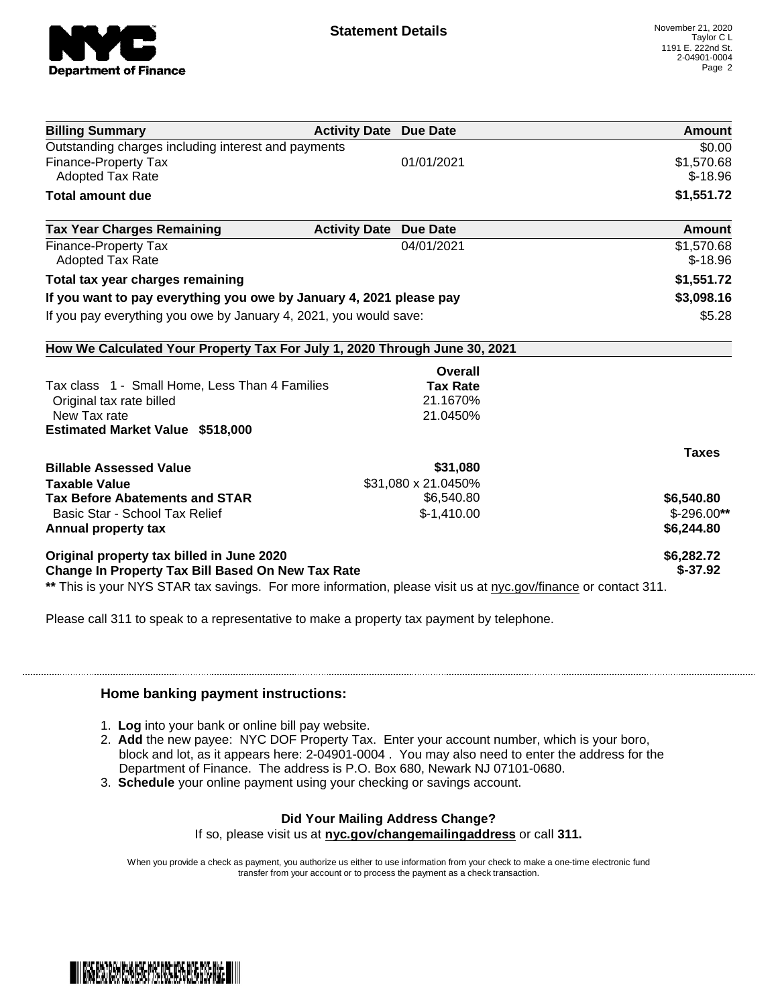

| <b>Billing Summary</b>                                                                                         | <b>Activity Date Due Date</b> | Amount        |
|----------------------------------------------------------------------------------------------------------------|-------------------------------|---------------|
| Outstanding charges including interest and payments                                                            |                               | \$0.00        |
| <b>Finance-Property Tax</b>                                                                                    | 01/01/2021                    | \$1,570.68    |
| <b>Adopted Tax Rate</b>                                                                                        |                               | $$-18.96$     |
| <b>Total amount due</b>                                                                                        |                               | \$1,551.72    |
| <b>Tax Year Charges Remaining</b>                                                                              | <b>Activity Date Due Date</b> | <b>Amount</b> |
| <b>Finance-Property Tax</b>                                                                                    | 04/01/2021                    | \$1,570.68    |
| <b>Adopted Tax Rate</b>                                                                                        |                               | $$-18.96$     |
| Total tax year charges remaining                                                                               |                               | \$1,551.72    |
| If you want to pay everything you owe by January 4, 2021 please pay                                            |                               | \$3,098.16    |
| If you pay everything you owe by January 4, 2021, you would save:                                              |                               | \$5.28        |
| How We Calculated Your Property Tax For July 1, 2020 Through June 30, 2021                                     |                               |               |
|                                                                                                                | Overall                       |               |
| Tax class 1 - Small Home, Less Than 4 Families                                                                 | <b>Tax Rate</b>               |               |
| Original tax rate billed                                                                                       | 21.1670%                      |               |
| New Tax rate                                                                                                   | 21.0450%                      |               |
| <b>Estimated Market Value \$518,000</b>                                                                        |                               |               |
|                                                                                                                |                               | <b>Taxes</b>  |
| <b>Billable Assessed Value</b>                                                                                 | \$31,080                      |               |
| <b>Taxable Value</b>                                                                                           | \$31,080 x 21.0450%           |               |
| <b>Tax Before Abatements and STAR</b>                                                                          | \$6,540.80                    | \$6,540.80    |
| Basic Star - School Tax Relief                                                                                 | $$-1,410.00$                  | $$-296.00**$  |
| Annual property tax                                                                                            |                               | \$6,244.80    |
| Original property tax billed in June 2020                                                                      |                               | \$6,282.72    |
| <b>Change In Property Tax Bill Based On New Tax Rate</b>                                                       |                               | $$-37.92$     |
| ** This is your NYS STAR tax savings. For more information, please visit us at nyc.gov/finance or contact 311. |                               |               |

Please call 311 to speak to a representative to make a property tax payment by telephone.

## **Home banking payment instructions:**

- 1. **Log** into your bank or online bill pay website.
- 2. **Add** the new payee: NYC DOF Property Tax. Enter your account number, which is your boro, block and lot, as it appears here: 2-04901-0004 . You may also need to enter the address for the Department of Finance. The address is P.O. Box 680, Newark NJ 07101-0680.
- 3. **Schedule** your online payment using your checking or savings account.

## **Did Your Mailing Address Change?**

If so, please visit us at **nyc.gov/changemailingaddress** or call **311.**

When you provide a check as payment, you authorize us either to use information from your check to make a one-time electronic fund transfer from your account or to process the payment as a check transaction.